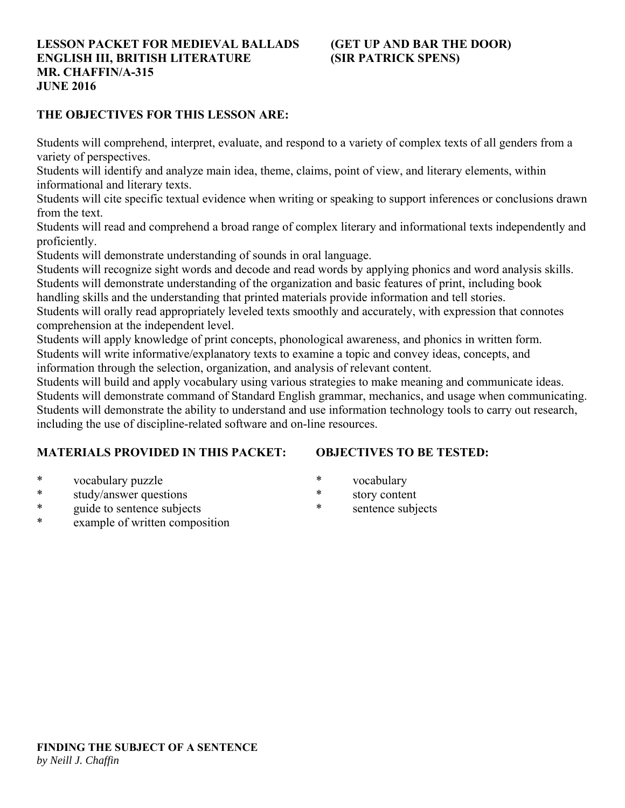# **LESSON PACKET FOR MEDIEVAL BALLADS (GET UP AND BAR THE DOOR) ENGLISH III, BRITISH LITERATURE (SIR PATRICK SPENS) MR. CHAFFIN/A-315 JUNE 2016**

# **THE OBJECTIVES FOR THIS LESSON ARE:**

Students will comprehend, interpret, evaluate, and respond to a variety of complex texts of all genders from a variety of perspectives.

Students will identify and analyze main idea, theme, claims, point of view, and literary elements, within informational and literary texts.

Students will cite specific textual evidence when writing or speaking to support inferences or conclusions drawn from the text.

Students will read and comprehend a broad range of complex literary and informational texts independently and proficiently.

Students will demonstrate understanding of sounds in oral language.

Students will recognize sight words and decode and read words by applying phonics and word analysis skills. Students will demonstrate understanding of the organization and basic features of print, including book

handling skills and the understanding that printed materials provide information and tell stories.

Students will orally read appropriately leveled texts smoothly and accurately, with expression that connotes comprehension at the independent level.

Students will apply knowledge of print concepts, phonological awareness, and phonics in written form. Students will write informative/explanatory texts to examine a topic and convey ideas, concepts, and information through the selection, organization, and analysis of relevant content.

Students will build and apply vocabulary using various strategies to make meaning and communicate ideas.

Students will demonstrate command of Standard English grammar, mechanics, and usage when communicating. Students will demonstrate the ability to understand and use information technology tools to carry out research, including the use of discipline-related software and on-line resources.

# **MATERIALS PROVIDED IN THIS PACKET:**

# **OBJECTIVES TO BE TESTED:**

- \* vocabulary puzzle
- \* study/answer questions
- \* guide to sentence subjects
- example of written composition
- \* vocabulary
- \* story content
- \* sentence subjects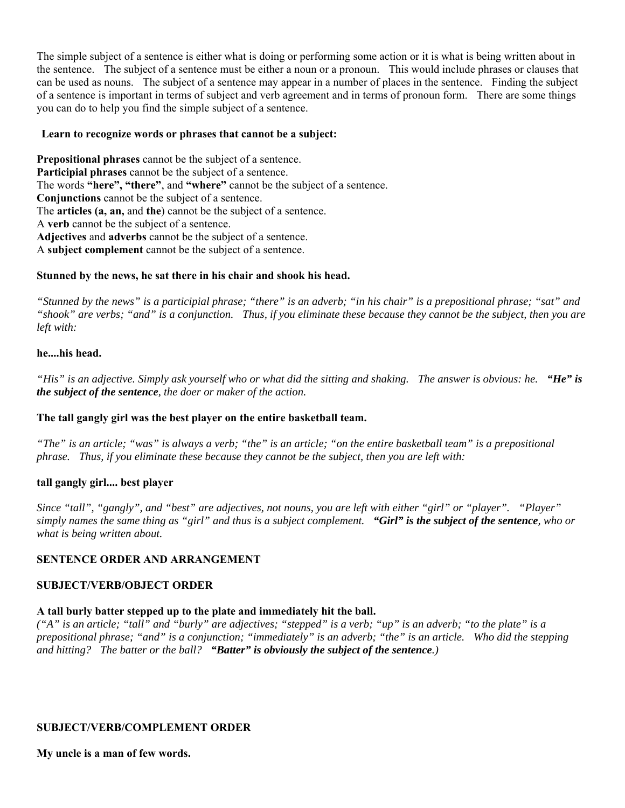The simple subject of a sentence is either what is doing or performing some action or it is what is being written about in the sentence. The subject of a sentence must be either a noun or a pronoun. This would include phrases or clauses that can be used as nouns. The subject of a sentence may appear in a number of places in the sentence. Finding the subject of a sentence is important in terms of subject and verb agreement and in terms of pronoun form. There are some things you can do to help you find the simple subject of a sentence.

# **Learn to recognize words or phrases that cannot be a subject:**

**Prepositional phrases** cannot be the subject of a sentence. **Participial phrases** cannot be the subject of a sentence. The words **"here", "there"**, and **"where"** cannot be the subject of a sentence. **Conjunctions** cannot be the subject of a sentence. The **articles (a, an,** and **the**) cannot be the subject of a sentence. A **verb** cannot be the subject of a sentence. **Adjectives** and **adverbs** cannot be the subject of a sentence. A **subject complement** cannot be the subject of a sentence.

# **Stunned by the news, he sat there in his chair and shook his head.**

*"Stunned by the news" is a participial phrase; "there" is an adverb; "in his chair" is a prepositional phrase; "sat" and "shook" are verbs; "and" is a conjunction. Thus, if you eliminate these because they cannot be the subject, then you are left with:*

# **he....his head.**

*"His" is an adjective. Simply ask yourself who or what did the sitting and shaking. The answer is obvious: he. "He" is the subject of the sentence, the doer or maker of the action.*

# **The tall gangly girl was the best player on the entire basketball team.**

*"The" is an article; "was" is always a verb; "the" is an article; "on the entire basketball team" is a prepositional phrase. Thus, if you eliminate these because they cannot be the subject, then you are left with:*

# **tall gangly girl.... best player**

*Since "tall", "gangly", and "best" are adjectives, not nouns, you are left with either "girl" or "player". "Player" simply names the same thing as "girl" and thus is a subject complement. "Girl" is the subject of the sentence, who or what is being written about.*

# **SENTENCE ORDER AND ARRANGEMENT**

#### **SUBJECT/VERB/OBJECT ORDER**

# **A tall burly batter stepped up to the plate and immediately hit the ball.**

*("A" is an article; "tall" and "burly" are adjectives; "stepped" is a verb; "up" is an adverb; "to the plate" is a prepositional phrase; "and" is a conjunction; "immediately" is an adverb; "the" is an article. Who did the stepping and hitting? The batter or the ball? "Batter" is obviously the subject of the sentence.)*

# **SUBJECT/VERB/COMPLEMENT ORDER**

**My uncle is a man of few words.**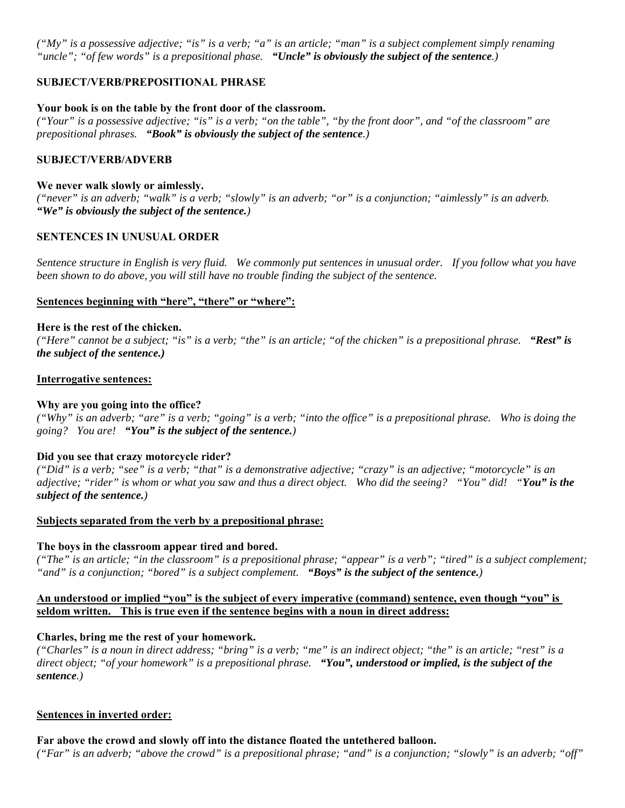*("My" is a possessive adjective; "is" is a verb; "a" is an article; "man" is a subject complement simply renaming "uncle"; "of few words" is a prepositional phase. "Uncle" is obviously the subject of the sentence.)*

# **SUBJECT/VERB/PREPOSITIONAL PHRASE**

#### **Your book is on the table by the front door of the classroom.**

*("Your" is a possessive adjective; "is" is a verb; "on the table", "by the front door", and "of the classroom" are prepositional phrases. "Book" is obviously the subject of the sentence.)*

#### **SUBJECT/VERB/ADVERB**

#### **We never walk slowly or aimlessly.**

*("never" is an adverb; "walk" is a verb; "slowly" is an adverb; "or" is a conjunction; "aimlessly" is an adverb. "We" is obviously the subject of the sentence.)*

#### **SENTENCES IN UNUSUAL ORDER**

*Sentence structure in English is very fluid. We commonly put sentences in unusual order. If you follow what you have been shown to do above, you will still have no trouble finding the subject of the sentence.* 

#### **Sentences beginning with "here", "there" or "where":**

#### **Here is the rest of the chicken.**

*("Here" cannot be a subject; "is" is a verb; "the" is an article; "of the chicken" is a prepositional phrase. "Rest" is the subject of the sentence.)*

#### **Interrogative sentences:**

#### **Why are you going into the office?**

*("Why" is an adverb; "are" is a verb; "going" is a verb; "into the office" is a prepositional phrase. Who is doing the going? You are! "You" is the subject of the sentence.)*

#### **Did you see that crazy motorcycle rider?**

*("Did" is a verb; "see" is a verb; "that" is a demonstrative adjective; "crazy" is an adjective; "motorcycle" is an adjective; "rider" is whom or what you saw and thus a direct object. Who did the seeing? "You" did! "You" is the subject of the sentence.)*

# **Subjects separated from the verb by a prepositional phrase:**

#### **The boys in the classroom appear tired and bored.**

*("The" is an article; "in the classroom" is a prepositional phrase; "appear" is a verb"; "tired" is a subject complement; "and" is a conjunction; "bored" is a subject complement. "Boys" is the subject of the sentence.)*

### **An understood or implied "you" is the subject of every imperative (command) sentence, even though "you" is seldom written. This is true even if the sentence begins with a noun in direct address:**

#### **Charles, bring me the rest of your homework.**

*("Charles" is a noun in direct address; "bring" is a verb; "me" is an indirect object; "the" is an article; "rest" is a direct object; "of your homework" is a prepositional phrase. "You", understood or implied, is the subject of the sentence.)*

#### **Sentences in inverted order:**

**Far above the crowd and slowly off into the distance floated the untethered balloon.**

*("Far" is an adverb; "above the crowd" is a prepositional phrase; "and" is a conjunction; "slowly" is an adverb; "off"*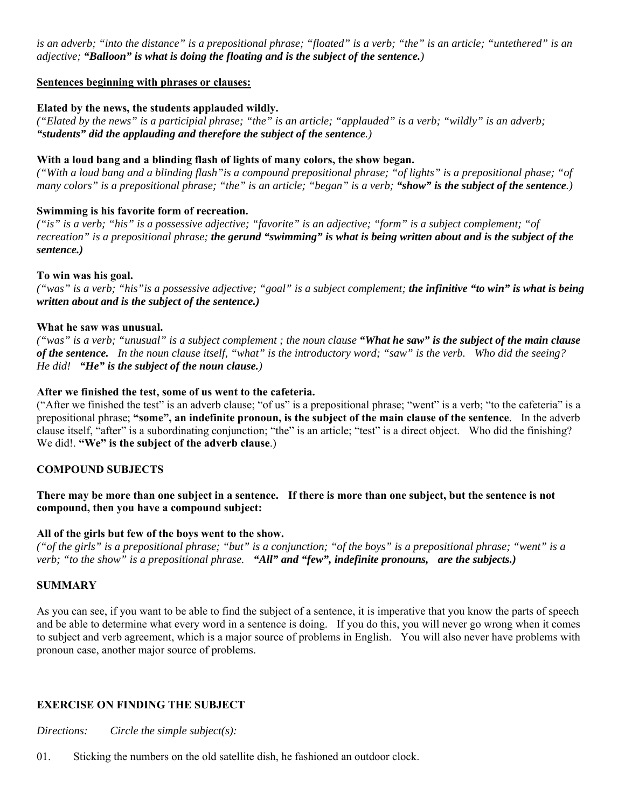*is an adverb; "into the distance" is a prepositional phrase; "floated" is a verb; "the" is an article; "untethered" is an adjective; "Balloon" is what is doing the floating and is the subject of the sentence.)*

#### **Sentences beginning with phrases or clauses:**

### **Elated by the news, the students applauded wildly.**

*("Elated by the news" is a participial phrase; "the" is an article; "applauded" is a verb; "wildly" is an adverb; "students" did the applauding and therefore the subject of the sentence.)*

#### **With a loud bang and a blinding flash of lights of many colors, the show began.**

*("With a loud bang and a blinding flash"is a compound prepositional phrase; "of lights" is a prepositional phase; "of many colors" is a prepositional phrase; "the" is an article; "began" is a verb; "show" is the subject of the sentence.)*

#### **Swimming is his favorite form of recreation.**

*("is" is a verb; "his" is a possessive adjective; "favorite" is an adjective; "form" is a subject complement; "of recreation" is a prepositional phrase; the gerund "swimming" is what is being written about and is the subject of the sentence.)*

#### **To win was his goal.**

*("was" is a verb; "his"is a possessive adjective; "goal" is a subject complement; the infinitive "to win" is what is being written about and is the subject of the sentence.)*

#### **What he saw was unusual.**

*("was" is a verb; "unusual" is a subject complement ; the noun clause "What he saw" is the subject of the main clause of the sentence. In the noun clause itself, "what" is the introductory word; "saw" is the verb. Who did the seeing? He did! "He" is the subject of the noun clause.)*

# **After we finished the test, some of us went to the cafeteria.**

("After we finished the test" is an adverb clause; "of us" is a prepositional phrase; "went" is a verb; "to the cafeteria" is a prepositional phrase; **"some", an indefinite pronoun, is the subject of the main clause of the sentence**. In the adverb clause itself, "after" is a subordinating conjunction; "the" is an article; "test" is a direct object. Who did the finishing? We did!. **"We" is the subject of the adverb clause**.)

# **COMPOUND SUBJECTS**

# **There may be more than one subject in a sentence. If there is more than one subject, but the sentence is not compound, then you have a compound subject:**

#### **All of the girls but few of the boys went to the show.**

*("of the girls" is a prepositional phrase; "but" is a conjunction; "of the boys" is a prepositional phrase; "went" is a verb; "to the show" is a prepositional phrase. "All" and "few", indefinite pronouns, are the subjects.)*

#### **SUMMARY**

As you can see, if you want to be able to find the subject of a sentence, it is imperative that you know the parts of speech and be able to determine what every word in a sentence is doing. If you do this, you will never go wrong when it comes to subject and verb agreement, which is a major source of problems in English. You will also never have problems with pronoun case, another major source of problems.

# **EXERCISE ON FINDING THE SUBJECT**

*Directions: Circle the simple subject(s):* 

01. Sticking the numbers on the old satellite dish, he fashioned an outdoor clock.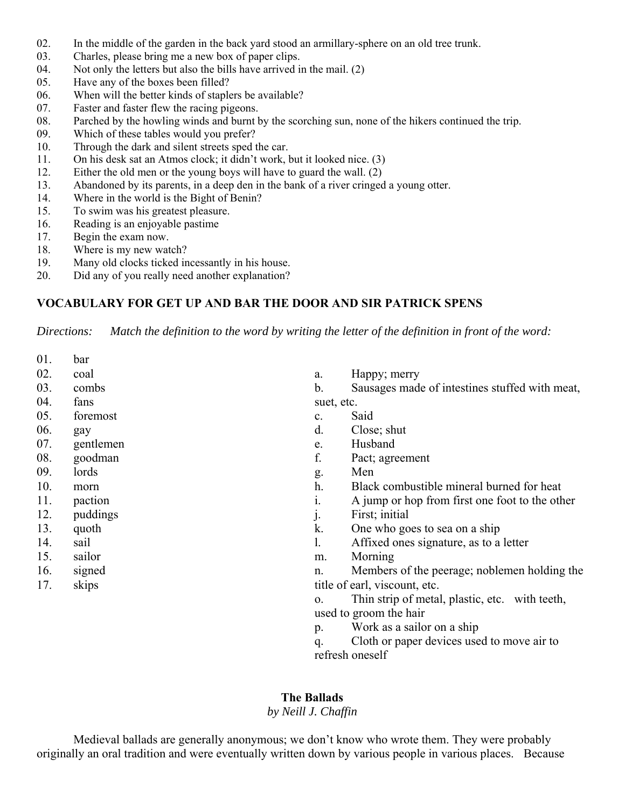- 02. In the middle of the garden in the back yard stood an armillary-sphere on an old tree trunk.
- 03. Charles, please bring me a new box of paper clips.
- 04. Not only the letters but also the bills have arrived in the mail. (2)
- 05. Have any of the boxes been filled?
- 06. When will the better kinds of staplers be available?
- 07. Faster and faster flew the racing pigeons.
- 08. Parched by the howling winds and burnt by the scorching sun, none of the hikers continued the trip.
- 09. Which of these tables would you prefer?
- 10. Through the dark and silent streets sped the car.
- 11. On his desk sat an Atmos clock; it didn't work, but it looked nice. (3)
- 12. Either the old men or the young boys will have to guard the wall. (2)
- 13. Abandoned by its parents, in a deep den in the bank of a river cringed a young otter.
- 14. Where in the world is the Bight of Benin?
- 15. To swim was his greatest pleasure.
- 16. Reading is an enjoyable pastime
- 17. Begin the exam now.
- 18. Where is my new watch?
- 19. Many old clocks ticked incessantly in his house.
- 20. Did any of you really need another explanation?

# **VOCABULARY FOR GET UP AND BAR THE DOOR AND SIR PATRICK SPENS**

*Directions: Match the definition to the word by writing the letter of the definition in front of the word:*

| 01. | bar       |                               |                                                |  |
|-----|-----------|-------------------------------|------------------------------------------------|--|
| 02. | coal      | a.                            | Happy; merry                                   |  |
| 03. | combs     | b.                            | Sausages made of intestines stuffed with meat, |  |
| 04. | fans      | suet, etc.                    |                                                |  |
| 05. | foremost  | c.                            | Said                                           |  |
| 06. | gay       | d.                            | Close; shut                                    |  |
| 07. | gentlemen | e.                            | Husband                                        |  |
| 08. | goodman   | f.                            | Pact; agreement                                |  |
| 09. | lords     | g.                            | Men                                            |  |
| 10. | morn      | h.                            | Black combustible mineral burned for heat      |  |
| 11. | paction   | 1.                            | A jump or hop from first one foot to the other |  |
| 12. | puddings  | j.                            | First; initial                                 |  |
| 13. | quoth     | k.                            | One who goes to sea on a ship                  |  |
| 14. | sail      | 1.                            | Affixed ones signature, as to a letter         |  |
| 15. | sailor    | m.                            | Morning                                        |  |
| 16. | signed    | n.                            | Members of the peerage; noblemen holding the   |  |
| 17. | skips     | title of earl, viscount, etc. |                                                |  |
|     |           | 0.                            | Thin strip of metal, plastic, etc. with teeth, |  |
|     |           | used to groom the hair        |                                                |  |
|     |           | p.                            | Work as a sailor on a ship                     |  |
|     |           | q.                            | Cloth or paper devices used to move air to     |  |

refresh oneself

# **The Ballads**

# *by Neill J. Chaffin*

 Medieval ballads are generally anonymous; we don't know who wrote them. They were probably originally an oral tradition and were eventually written down by various people in various places. Because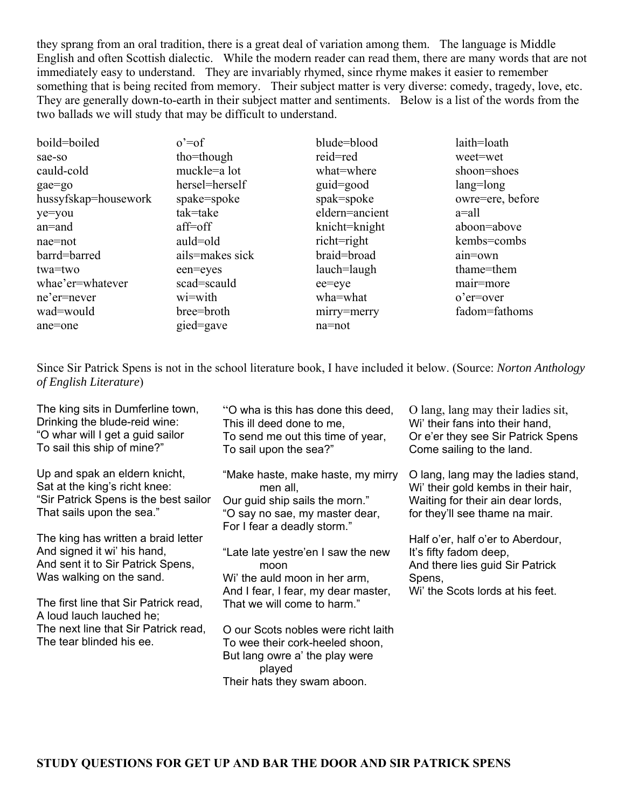they sprang from an oral tradition, there is a great deal of variation among them. The language is Middle English and often Scottish dialectic. While the modern reader can read them, there are many words that are not immediately easy to understand. They are invariably rhymed, since rhyme makes it easier to remember something that is being recited from memory. Their subject matter is very diverse: comedy, tragedy, love, etc. They are generally down-to-earth in their subject matter and sentiments. Below is a list of the words from the two ballads we will study that may be difficult to understand.

| boild=boiled         | $o' = of$       | blude=blood         | laith=loath      |
|----------------------|-----------------|---------------------|------------------|
| sae-so               | tho=though      | reid=red            | weet=wet         |
| cauld-cold           | muckle=a lot    | what=where          | shoon=shoes      |
| gae=go               | hersel=herself  | $\text{grid}$ =good | $lang = long$    |
| hussyfskap=housework | spake=spoke     | spak=spoke          | owre=ere, before |
| ye=you               | tak=take        | eldern=ancient      | $a=$ all         |
| $an =$ and           | $aff=off$       | knicht=knight       | aboon=above      |
| $nae=not$            | auld=old        | richt=right         | kembs=combs      |
| barrd=barred         | ails=makes sick | braid=broad         | ain=own          |
| twa=two              | een=eyes        | lauch=laugh         | thame=them       |
| whae'er=whatever     | scad=scauld     | ee=eye              | mair=more        |
| ne'er=never          | wi=with         | wha=what            | $o'$ er=over     |
| wad=would            | bree=broth      | mirry=merry         | fadom=fathoms    |
| ane=one              | gied=gave       | na=not              |                  |

Since Sir Patrick Spens is not in the school literature book, I have included it below. (Source: *Norton Anthology of English Literature*)

The king sits in Dumferline town, Drinking the blude-reid wine: "O whar will I get a guid sailor To sail this ship of mine?"

Up and spak an eldern knicht, Sat at the king's richt knee: "Sir Patrick Spens is the best sailor That sails upon the sea."

The king has written a braid letter And signed it wi' his hand, And sent it to Sir Patrick Spens, Was walking on the sand.

The first line that Sir Patrick read, A loud lauch lauched he; The next line that Sir Patrick read, The tear blinded his ee.

"O wha is this has done this deed, This ill deed done to me, To send me out this time of year, To sail upon the sea?"

"Make haste, make haste, my mirry men all, Our guid ship sails the morn." "O say no sae, my master dear, For I fear a deadly storm."

"Late late yestre'en I saw the new moon Wi' the auld moon in her arm, And I fear, I fear, my dear master, That we will come to harm."

O our Scots nobles were richt laith To wee their cork-heeled shoon, But lang owre a' the play were played Their hats they swam aboon.

O lang, lang may their ladies sit, Wi' their fans into their hand. Or e'er they see Sir Patrick Spens Come sailing to the land.

O lang, lang may the ladies stand, Wi' their gold kembs in their hair, Waiting for their ain dear lords, for they'll see thame na mair.

Half o'er, half o'er to Aberdour, It's fifty fadom deep, And there lies guid Sir Patrick Spens, Wi' the Scots lords at his feet.